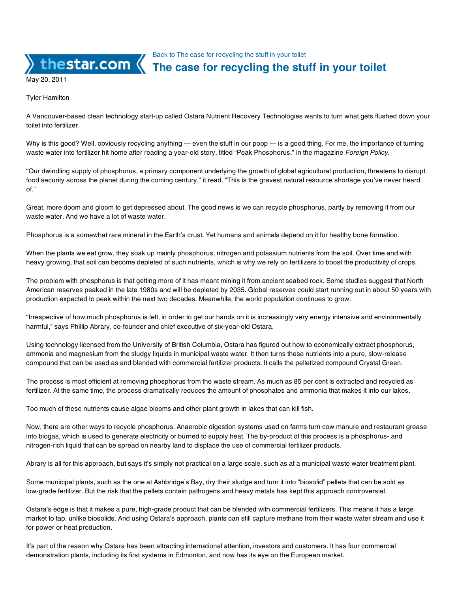Back to The case for recycling the stuff in your toilet

## **The case for recycling the stuff in your toilet**

May 20, 2011

Tyler Hamilton

A Vancouver-based clean technology start-up called Ostara Nutrient Recovery Technologies wants to turn what gets flushed down your toilet into fertilizer.

Why is this good? Well, obviously recycling anything — even the stuff in our poop — is a good thing. For me, the importance of turning waste water into fertilizer hit home after reading a year-old story, titled "Peak Phosphorus," in the magazine *Foreign Policy*.

"Our dwindling supply of phosphorus, a primary component underlying the growth of global agricultural production, threatens to disrupt food security across the planet during the coming century," it read. "This is the gravest natural resource shortage you've never heard of."

Great, more doom and gloom to get depressed about. The good news is we can recycle phosphorus, partly by removing it from our waste water. And we have a lot of waste water.

Phosphorus is a somewhat rare mineral in the Earth's crust. Yet humans and animals depend on it for healthy bone formation.

When the plants we eat grow, they soak up mainly phosphorus, nitrogen and potassium nutrients from the soil. Over time and with heavy growing, that soil can become depleted of such nutrients, which is why we rely on fertilizers to boost the productivity of crops.

The problem with phosphorus is that getting more of it has meant mining it from ancient seabed rock. Some studies suggest that North American reserves peaked in the late 1980s and will be depleted by 2035. Global reserves could start running out in about 50 years with production expected to peak within the next two decades. Meanwhile, the world population continues to grow.

"Irrespective of how much phosphorus is left, in order to get our hands on it is increasingly very energy intensive and environmentally harmful," says Phillip Abrary, co-founder and chief executive of six-year-old Ostara.

Using technology licensed from the University of British Columbia, Ostara has figured out how to economically extract phosphorus, ammonia and magnesium from the sludgy liquids in municipal waste water. It then turns these nutrients into a pure, slow-release compound that can be used as and blended with commercial fertilizer products. It calls the pelletized compound Crystal Green.

The process is most efficient at removing phosphorus from the waste stream. As much as 85 per cent is extracted and recycled as fertilizer. At the same time, the process dramatically reduces the amount of phosphates and ammonia that makes it into our lakes.

Too much of these nutrients cause algae blooms and other plant growth in lakes that can kill fish.

Now, there are other ways to recycle phosphorus. Anaerobic digestion systems used on farms turn cow manure and restaurant grease into biogas, which is used to generate electricity or burned to supply heat. The by-product of this process is a phosphorus- and nitrogen-rich liquid that can be spread on nearby land to displace the use of commercial fertilizer products.

Abrary is all for this approach, but says it's simply not practical on a large scale, such as at a municipal waste water treatment plant.

Some municipal plants, such as the one at Ashbridge's Bay, dry their sludge and turn it into "biosolid" pellets that can be sold as low-grade fertilizer. But the risk that the pellets contain pathogens and heavy metals has kept this approach controversial.

Ostara's edge is that it makes a pure, high-grade product that can be blended with commercial fertilizers. This means it has a large market to tap, unlike biosolids. And using Ostara's approach, plants can still capture methane from their waste water stream and use it for power or heat production.

It's part of the reason why Ostara has been attracting international attention, investors and customers. It has four commercial demonstration plants, including its first systems in Edmonton, and now has its eye on the European market.